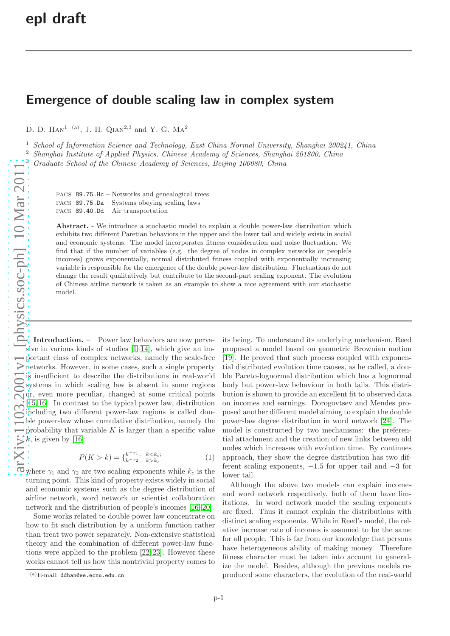## Emergence of double scaling law in complex system

D. D. HAN<sup>1 (a)</sup>, J. H. QIAN<sup>2,3</sup> and Y. G. MA<sup>2</sup>

<sup>1</sup> School of Information Science and Technology, East China Normal University, Shanghai 200241, China

<sup>2</sup> Shanghai Institute of Applied Physics, Chinese Academy of Sciences, Shanghai 201800, China

<sup>3</sup> Graduate School of the Chinese Academy of Sciences, Beijing 100080, China

PACS 89.75.Hc – Networks and genealogical trees PACS 89.75.Da – Systems obeying scaling laws

PACS 89.40.Dd – Air transportation

Abstract. - We introduce a stochastic model to explain a double power-law distribution which exhibits two different Paretian behaviors in the upper and the lower tail and widely exists in social and economic systems. The model incorporates fitness consideration and noise fluctuation. We find that if the number of variables (e.g. the degree of nodes in complex networks or people's incomes) grows exponentially, normal distributed fitness coupled with exponentially increasing variable is responsible for the emergence of the double power-law distribution. Fluctuations do not change the result qualitatively but contribute to the second-part scaling exponent. The evolution of Chinese airline network is taken as an example to show a nice agreement with our stochastic model.

Introduction. – Power law behaviors are now pervasive in various kinds of studies [\[1](#page-5-0)[–14\]](#page-5-1), which give an important class of complex networks, namely the scale-free networks. However, in some cases, such a single property is insufficient to describe the distributions in real-world systems in which scaling law is absent in some regions or, even more peculiar, changed at some critical points [\[15,](#page-5-2) [16\]](#page-5-3). In contrast to the typical power law, distribution including two different power-law regions is called double power-law whose cumulative distribution, namely the probability that variable  $K$  is larger than a specific value  $k$ , is given by [\[16\]](#page-5-3):

$$
P(K > k) = \begin{cases} k^{-\gamma_1}, & k < k_c; \\ k^{-\gamma_2}, & k > k_c \end{cases}
$$
 (1)

where  $\gamma_1$  and  $\gamma_2$  are two scaling exponents while  $k_c$  is the turning point. This kind of property exists widely in social and economic systems such as the degree distribution of airline network, word network or scientist collaboration network and the distribution of people's incomes [\[16–](#page-5-3)[20\]](#page-5-4).

Some works related to double power law concentrate on how to fit such distribution by a uniform function rather than treat two power separately. Non-extensive statistical theory and the combination of different power-law functions were applied to the problem [\[22,](#page-5-5) [23\]](#page-5-6). However these works cannot tell us how this nontrivial property comes to its being. To understand its underlying mechanism, Reed proposed a model based on geometric Brownian motion [\[19\]](#page-5-7). He proved that such process coupled with exponential distributed evolution time causes, as he called, a double Pareto-lognormal distribution which has a lognormal body but power-law behaviour in both tails. This distribution is shown to provide an excellent fit to observed data on incomes and earnings. Dorogovtsev and Mendes proposed another different model aiming to explain the double power-law degree distribution in word network [\[24\]](#page-5-8). The model is constructed by two mechanisms: the preferential attachment and the creation of new links between old nodes which increases with evolution time. By continues approach, they show the degree distribution has two different scaling exponents, −1.5 for upper tail and −3 for lower tail.

Although the above two models can explain incomes and word network respectively, both of them have limitations. In word network model the scaling exponents are fixed. Thus it cannot explain the distributions with distinct scaling exponents. While in Reed's model, the relative increase rate of incomes is assumed to be the same for all people. This is far from our knowledge that persons have heterogeneous ability of making money. Therefore fitness character must be taken into account to generalize the model. Besides, although the previous models reproduced some characters, the evolution of the real-world

 $(a)$ E-mail: ddhan@ee.ecnu.edu.cn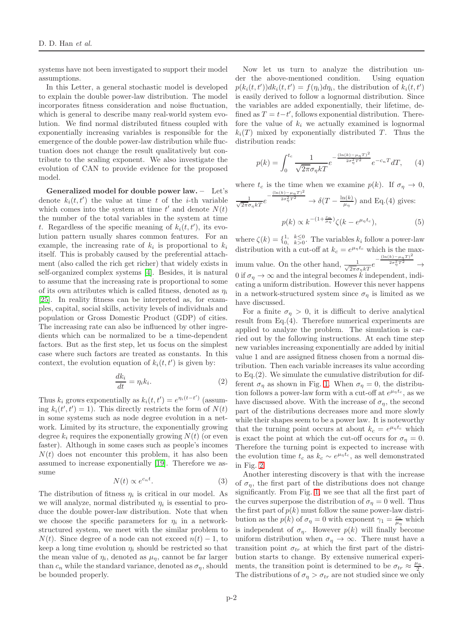systems have not been investigated to support their model assumptions.

In this Letter, a general stochastic model is developed to explain the double power-law distribution. The model incorporates fitness consideration and noise fluctuation, which is general to describe many real-world system evolution. We find normal distributed fitness coupled with exponentially increasing variables is responsible for the emergence of the double power-law distribution while fluctuation does not change the result qualitatively but contribute to the scaling exponent. We also investigate the evolution of CAN to provide evidence for the proposed model.

Generalized model for double power law. – Let's denote  $k_i(t, t')$  the value at time t of the i-th variable which comes into the system at time  $t'$  and denote  $N(t)$ the number of the total variables in the system at time t. Regardless of the specific meaning of  $k_i(t, t')$ , its evolution pattern usually shares common features. For an example, the increasing rate of  $k_i$  is proportional to  $k_i$ itself. This is probably caused by the preferential attachment (also called the rich get richer) that widely exists in self-organized complex systems [\[4\]](#page-5-9). Besides, it is natural to assume that the increasing rate is proportional to some of its own attributes which is called fitness, denoted as  $\eta_i$ [\[25\]](#page-5-10). In reality fitness can be interpreted as, for examples, capital, social skills, activity levels of individuals and population or Gross Domestic Product (GDP) of cities. The increasing rate can also be influenced by other ingredients which can be normalized to be a time-dependent factors. But as the first step, let us focus on the simplest case where such factors are treated as constants. In this context, the evolution equation of  $k_i(t, t')$  is given by:

$$
\frac{dk_i}{dt} = \eta_i k_i. \tag{2}
$$

Thus  $k_i$  grows exponentially as  $k_i(t, t') = e^{\eta_i(t-t')}$  (assuming  $k_i(t', t') = 1$ ). This directly restricts the form of  $N(t)$ in some systems such as node degree evolution in a network. Limited by its structure, the exponentially growing degree  $k_i$  requires the exponentially growing  $N(t)$  (or even faster). Although in some cases such as people's incomes  $N(t)$  does not encounter this problem, it has also been assumed to increase exponentially [\[19\]](#page-5-7). Therefore we assume

$$
N(t) \propto e^{c_n t}.\tag{3}
$$

The distribution of fitness  $\eta_i$  is critical in our model. As we will analyze, normal distributed  $\eta_i$  is essential to produce the double power-law distribution. Note that when we choose the specific parameters for  $\eta_i$  in a networkstructured system, we meet with the similar problem to  $N(t)$ . Since degree of a node can not exceed  $n(t) - 1$ , to keep a long time evolution  $\eta_i$  should be restricted so that the mean value of  $\eta_i$ , denoted as  $\mu_{\eta}$ , cannot be far larger than  $c_n$  while the standard variance, denoted as  $\sigma_n$ , should be bounded properly.

Now let us turn to analyze the distribution under the above-mentioned condition. Using equation  $p(k_i(t, t'))dk_i(t, t') = f(\eta_i)d\eta_i$ , the distribution of  $k_i(t, t')$ is easily derived to follow a lognormal distribution. Since the variables are added exponentially, their lifetime, defined as  $T = t-t'$ , follows exponential distribution. Therefore the value of  $k_i$  we actually examined is lognormal  $k_i(T)$  mixed by exponentially distributed T. Thus the distribution reads:

$$
p(k) = \int_0^{t_c} \frac{1}{\sqrt{2\pi}\sigma_\eta kT} e^{-\frac{(\ln(k) - \mu_\eta T)^2}{2\sigma_\eta^2 T^2}} e^{-c_n T} dT, \qquad (4)
$$

where  $t_c$  is the time when we examine  $p(k)$ . If  $\sigma_{\eta} \to 0$ ,  $\frac{1}{\sqrt{2\pi}\sigma_{\eta}kT}e^{-\frac{(\ln(k)-\mu_{\eta}T)^2}{2\sigma_{\eta}^2T^2}}$  $\frac{a^2 \sigma_\eta^2 T^2}{\mu_\eta} \to \delta(T - \frac{\ln(k)}{\mu_\eta})$  $\frac{\Pi(K)}{\mu_{\eta}}$  and Eq.(4) gives:

$$
p(k) \propto k^{-(1+\frac{c_n}{\mu_\eta})} \zeta(k - e^{\mu_\eta t_c}),\tag{5}
$$

where  $\zeta(k) = \{ \begin{matrix} 1, & k \leq 0 \\ 0, & k > 0 \end{matrix}$ . The variables  $k_i$  follow a power-law distribution with a cut-off at  $k_c = e^{\mu_\eta t_c}$  which is the maximum value. On the other hand,  $\frac{1}{\sqrt{2\pi}\sigma_1 kT} e^{-\frac{(\ln(k)-\mu_T T)^2}{2\sigma_T^2 T^2}}$ imum value. On the other hand,  $\frac{1}{\sqrt{2\pi}\sigma_{\eta}kT}e^{-\frac{(x-\mu)^2}{2\sigma_{\eta}kT}}$  $\frac{2\sigma_\eta^2 T^2}{\rightarrow} \rightarrow$ 0 if  $\sigma_n \to \infty$  and the integral becomes k independent, indicating a uniform distribution. However this never happens in a network-structured system since  $\sigma_n$  is limited as we have discussed.

For a finite  $\sigma_{\eta} > 0$ , it is difficult to derive analytical result from Eq. $(4)$ . Therefore numerical experiments are applied to analyze the problem. The simulation is carried out by the following instructions. At each time step new variables increasing exponentially are added by initial value 1 and are assigned fitness chosen from a normal distribution. Then each variable increases its value according to Eq. $(2)$ . We simulate the cumulative distribution for different  $\sigma_n$  as shown in Fig. [1.](#page-2-0) When  $\sigma_n = 0$ , the distribution follows a power-law form with a cut-off at  $e^{\mu_{\eta}t_c}$ , as we have discussed above. With the increase of  $\sigma_n$ , the second part of the distributions decreases more and more slowly while their shapes seem to be a power law. It is noteworthy that the turning point occurs at about  $k_c = e^{\mu_{\eta} t_c}$  which is exact the point at which the cut-off occurs for  $\sigma_n = 0$ . Therefore the turning point is expected to increase with the evolution time  $t_c$  as  $k_c \sim e^{\mu_\eta t_c}$ , as well demonstrated in Fig. [2.](#page-2-1)

Another interesting discovery is that with the increase of  $\sigma_n$ , the first part of the distributions does not change significantly. From Fig. [1,](#page-2-0) we see that all the first part of the curves superpose the distribution of  $\sigma_{\eta} = 0$  well. Thus the first part of  $p(k)$  must follow the same power-law distribution as the  $p(k)$  of  $\sigma_{\eta} = 0$  with exponent  $\gamma_1 = \frac{c_n}{\mu_{\eta}}$  which is independent of  $\sigma_{\eta}$ . However  $p(k)$  will finally become uniform distribution when  $\sigma_{\eta} \to \infty$ . There must have a transition point  $\sigma_{tr}$  at which the first part of the distribution starts to change. By extensive numerical experiments, the transition point is determined to be  $\sigma_{tr} \approx \frac{\mu_{\eta}}{2}$  $rac{\iota_{\eta}}{2}$ . The distributions of  $\sigma_{\eta} > \sigma_{tr}$  are not studied since we only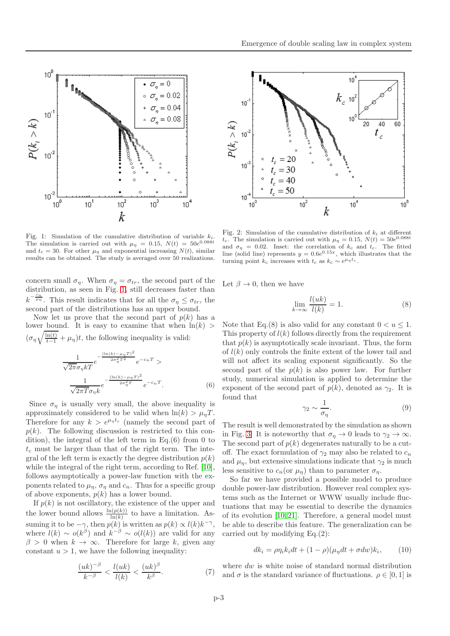



<span id="page-2-0"></span>Fig. 1: Simulation of the cumulative distribution of variable  $k_i$ . The simulation is carried out with  $\mu_{\eta} = 0.15, N(t) = 50e^{0.088t}$ and  $t_c = 30$ . For other  $\mu_{\eta}$  and exponential increasing  $N(t)$ , similar results can be obtained. The study is averaged over 50 realizations.

concern small  $\sigma_{\eta}$ . When  $\sigma_{\eta} = \sigma_{tr}$ , the second part of the distribution, as seen in Fig. [1,](#page-2-0) still decreases faster than  $k^{-\frac{c_n}{\mu_{\eta}}}$ . This result indicates that for all the  $\sigma_{\eta} \leq \sigma_{tr}$ , the second part of the distributions has an upper bound.

Now let us prove that the second part of  $p(k)$  has a lower bound. It is easy to examine that when  $\ln(k)$  $(\sigma_{\eta}\sqrt{\frac{\ln(t)}{t-1}} + \mu_{\eta})t$ , the following inequality is valid: 1 e −  $(\ln(k)-\mu \eta T)^2$  $2\sigma_\eta^2 T^2$ e  $\frac{-c_nT}{\geq}$ 

$$
\frac{1}{\sqrt{2\pi}\sigma_{\eta}kT}e^{-\frac{(\ln(k)-\mu_{\eta}T)^2}{2\sigma_{\eta}^2T}}e^{-cnT}.
$$
\n(6)

Since  $\sigma_{\eta}$  is usually very small, the above inequality is approximately considered to be valid when  $\ln(k) > \mu_n T$ . Therefore for any  $k > e^{\mu_{\eta}t_c}$  (namely the second part of  $p(k)$ . The following discussion is restricted to this condition), the integral of the left term in Eq.(6) from 0 to  $t_c$  must be larger than that of the right term. The integral of the left term is exactly the degree distribution  $p(k)$ while the integral of the right term, according to Ref. [\[10\]](#page-5-11), follows asymptotically a power-law function with the exponents related to  $\mu_n$ ,  $\sigma_n$  and  $c_n$ . Thus for a specific group of above exponents,  $p(k)$  has a lower bound.

If  $p(k)$  is not oscillatory, the existence of the upper and the lower bound allows  $\frac{\ln(p(k))}{\ln(k)}$  to have a limitation. Assuming it to be  $-\gamma$ , then  $p(k)$  is written as  $p(k) \propto l(k)k^{-\gamma}$ , where  $l(k) \sim o(k^{\beta})$  and  $k^{-\beta} \sim o(l(k))$  are valid for any  $\beta > 0$  when  $k \to \infty$ . Therefore for large k, given any constant  $u > 1$ , we have the following inequality:

$$
\frac{(uk)^{-\beta}}{k^{-\beta}} < \frac{l(uk)}{l(k)} < \frac{(uk)^{\beta}}{k^{\beta}}.\tag{7}
$$



<span id="page-2-1"></span>Fig. 2: Simulation of the cumulative distribution of  $k_i$  at different  $t_c$ . The simulation is carried out with  $\mu_{\eta} = 0.15, N(t) = 50e^{0.088t}$ and  $\sigma_{\eta} = 0.02$ . Inset: the correlation of  $k_c$  and  $t_c$ . The fitted line (solid line) represents  $y = 0.6e^{0.15x}$ , which illustrates that the turning point  $k_c$  increases with  $t_c$  as  $k_c \sim e^{\mu_\eta t_c}$ .

Let  $\beta \to 0$ , then we have

$$
\lim_{k \to \infty} \frac{l(uk)}{l(k)} = 1.
$$
\n(8)

Note that Eq.(8) is also valid for any constant  $0 < u \leq 1$ . This property of  $l(k)$  follows directly from the requirement that  $p(k)$  is asymptotically scale invariant. Thus, the form of  $l(k)$  only controls the finite extent of the lower tail and will not affect its scaling exponent significantly. So the second part of the  $p(k)$  is also power law. For further study, numerical simulation is applied to determine the exponent of the second part of  $p(k)$ , denoted as  $\gamma_2$ . It is found that

$$
\gamma_2 \sim \frac{1}{\sigma_\eta}.\tag{9}
$$

The result is well demonstrated by the simulation as shown in Fig. [3.](#page-3-0) It is noteworthy that  $\sigma_n \to 0$  leads to  $\gamma_2 \to \infty$ . The second part of  $p(k)$  degenerates naturally to be a cutoff. The exact formulation of  $\gamma_2$  may also be related to  $c_n$ and  $\mu_n$ , but extensive simulations indicate that  $\gamma_2$  is much less sensitive to  $c_n$  (or  $\mu_n$ ) than to parameter  $\sigma_n$ .

So far we have provided a possible model to produce double power-law distribution. However real complex systems such as the Internet or WWW usually include fluctuations that may be essential to describe the dynamics of its evolution [\[10,](#page-5-11) [21\]](#page-5-12). Therefore, a general model must be able to describe this feature. The generalization can be carried out by modifying Eq.(2):

$$
dk_i = \rho \eta_i k_i dt + (1 - \rho)(\mu_\eta dt + \sigma dw) k_i, \qquad (10)
$$

where dw is white noise of standard normal distribution and  $\sigma$  is the standard variance of fluctuations.  $\rho \in [0, 1]$  is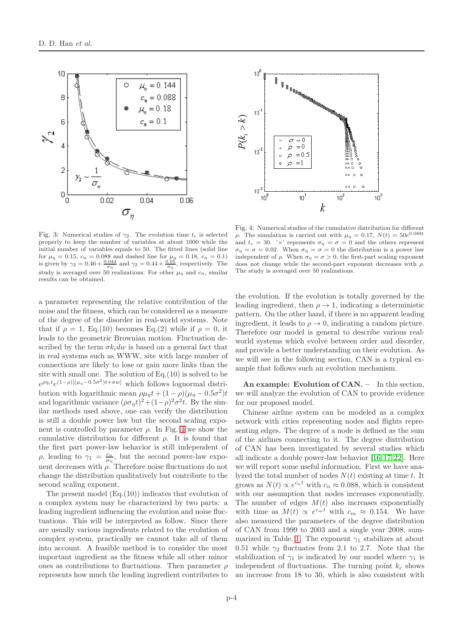



<span id="page-3-0"></span>Fig. 3: Numerical studies of  $\gamma_2$ . The evolution time  $t_c$  is selected properly to keep the number of variables at about 1000 while the initial number of variables equals to 50. The fitted lines (solid line for  $\mu_{\eta} = 0.15$ ,  $c_n = 0.088$  and dashed line for  $\mu_{\eta} = 0.18$ ,  $c_n = 0.1$ ) is given by  $\gamma_2 = 0.46 + \frac{0.04}{\sigma_{\eta}}$  and  $\gamma_2 = 0.44 + \frac{0.05}{\sigma_{\eta}}$ , respectively. The study is averaged over 50 realizations. For other  $\mu_{\eta}$  and  $c_n$ , similar results can be obtained.

a parameter representing the relative contribution of the noise and the fitness, which can be considered as a measure of the degree of the disorder in real-world systems. Note that if  $\rho = 1$ , Eq.(10) becomes Eq.(2) while if  $\rho = 0$ , it leads to the geometric Brownian motion. Fluctuation described by the term  $\sigma k_i dw$  is based on a general fact that in real systems such as WWW, site with large number of connections are likely to lose or gain more links than the site with small one. The solution of  $Eq.(10)$  is solved to be  $e^{\rho \eta_i t} e^{(1-\rho)[(\mu_\eta-0.5\sigma^2)t+\sigma w]}$  which follows lognormal distribution with logarithmic mean  $\rho\mu_{\eta}t + (1-\rho)(\mu_{\eta} - 0.5\sigma^2)t$ and logarithmic variance  $(\rho \sigma_{\eta} t)^2 + (1 - \rho)^2 \sigma^2 t$ . By the similar methods used above, one can verify the distribution is still a double power law but the second scaling exponent is controlled by parameter  $\rho$ . In Fig. [4](#page-3-1) we show the cumulative distribution for different  $\rho$ . It is found that the first part power-law behavior is still independent of ρ, leading to  $γ_1 = \frac{c_n}{μ_n}$ , but the second power-law exponent decreases with  $\rho$ . Therefore noise fluctuations do not change the distribution qualitatively but contribute to the second scaling exponent.

The present model  $(Eq.(10))$  indicates that evolution of a complex system may be characterized by two parts: a leading ingredient influencing the evolution and noise fluctuations. This will be interpreted as follow. Since there are usually various ingredients related to the evolution of complex system, practically we cannot take all of them into account. A feasible method is to consider the most important ingredient as the fitness while all other minor ones as contributions to fluctuations. Then parameter  $\rho$ represents how much the leading ingredient contributes to

<span id="page-3-1"></span>Fig. 4: Numerical studies of the cumulative distribution for different ρ. The simulation is carried out with  $\mu_{\eta} = 0.17, N(t) = 50e^{0.088t}$ and  $t_c = 30$ . ' $\times$ ' represents  $\sigma_{\eta} = \sigma = 0$  and the others represent  $\sigma_{\eta} = \sigma = 0.02$ . When  $\sigma_{\eta} = \sigma = 0$  the distribution is a power law independent of  $\rho$ . When  $\sigma_{\eta} = \sigma > 0$ , the first-part scaling exponent does not change while the second-part exponent decreases with  $\rho$ . The study is averaged over 50 realizations.

the evolution. If the evolution is totally governed by the leading ingredient, then  $\rho \rightarrow 1$ , indicating a deterministic pattern. On the other hand, if there is no apparent leading ingredient, it leads to  $\rho \rightarrow 0$ , indicating a random picture. Therefore our model is general to describe various realworld systems which evolve between order and disorder, and provide a better understanding on their evolution. As we will see in the following section, CAN is a typical example that follows such an evolution mechanism.

An example: Evolution of CAN. - In this section, we will analyze the evolution of CAN to provide evidence for our proposed model.

Chinese airline system can be modeled as a complex network with cities representing nodes and flights representing edges. The degree of a node is defined as the sum of the airlines connecting to it. The degree distribution of CAN has been investigated by several studies which all indicate a double power-law behavior [\[16,](#page-5-3) [17,](#page-5-13) [22\]](#page-5-5). Here we will report some useful information. First we have analyzed the total number of nodes  $N(t)$  existing at time t. It grows as  $N(t) \propto e^{c_n t}$  with  $c_n \approx 0.088$ , which is consistent with our assumption that nodes increases exponentially. The number of edges  $M(t)$  also increases exponentially with time as  $M(t) \propto e^{c_m t}$  with  $c_m \approx 0.154$ . We have also measured the parameters of the degree distribution of CAN from 1999 to 2003 and a single year 2008, sum-marized in Table. [1.](#page-4-0) The exponent  $\gamma_1$  stabilizes at about 0.51 while  $\gamma_2$  fluctuates from 2.1 to 2.7. Note that the stabilization of  $\gamma_1$  is indicated by our model where  $\gamma_1$  is independent of fluctuations. The turning point  $k_c$  shows an increase from 18 to 30, which is also consistent with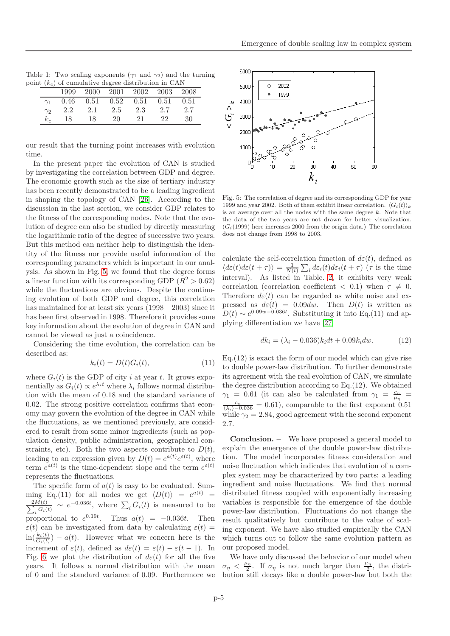Table 1: Two scaling exponents  $(\gamma_1 \text{ and } \gamma_2)$  and the turning point  $(k_c)$  of cumulative degree distribution in CAN

<span id="page-4-0"></span>

|            | $\alpha$ ( $\alpha$ ) or cumulative degree unstruction in error |     |                                           |     |     |     |  |  |
|------------|-----------------------------------------------------------------|-----|-------------------------------------------|-----|-----|-----|--|--|
|            | 1999                                                            |     | 2000 2001 2002 2003 2008                  |     |     |     |  |  |
| $\gamma_1$ |                                                                 |     | $0.46$ $0.51$ $0.52$ $0.51$ $0.51$ $0.51$ |     |     |     |  |  |
| $\gamma_2$ | 2.2                                                             | 2.1 | 2.5                                       | 2.3 | 2.7 | 2.7 |  |  |
| $k_c$      | 18                                                              | 18  | 20                                        | 21  | 22  | 30  |  |  |

our result that the turning point increases with evolution time.

In the present paper the evolution of CAN is studied by investigating the correlation between GDP and degree. The economic growth such as the size of tertiary industry has been recently demonstrated to be a leading ingredient in shaping the topology of CAN [\[26\]](#page-5-14). According to the discussion in the last section, we consider GDP relates to the fitness of the corresponding nodes. Note that the evolution of degree can also be studied by directly measuring the logarithmic ratio of the degree of successive two years. But this method can neither help to distinguish the identity of the fitness nor provide useful information of the corresponding parameters which is important in our analysis. As shown in Fig. [5,](#page-4-1) we found that the degree forms a linear function with its corresponding GDP ( $R^2 > 0.62$ ) while the fluctuations are obvious. Despite the continuing evolution of both GDP and degree, this correlation has maintained for at least six years (1998−2003) since it has been first observed in 1998. Therefore it provides some key information about the evolution of degree in CAN and cannot be viewed as just a coincidence.

Considering the time evolution, the correlation can be described as:

$$
k_i(t) = D(t)G_i(t),\tag{11}
$$

where  $G_i(t)$  is the GDP of city i at year t. It grows exponentially as  $G_i(t) \propto e^{\lambda_i t}$  where  $\lambda_i$  follows normal distribution with the mean of 0.18 and the standard variance of 0.02. The strong positive correlation confirms that economy may govern the evolution of the degree in CAN while the fluctuations, as we mentioned previously, are considered to result from some minor ingredients (such as population density, public administration, geographical constraints, etc). Both the two aspects contribute to  $D(t)$ , leading to an expression given by  $D(t) = e^{a(t)} e^{\varepsilon(t)}$ , where term  $e^{a(t)}$  is the time-dependent slope and the term  $e^{\varepsilon(t)}$ represents the fluctuations.

The specific form of  $a(t)$  is easy to be evaluated. Sum- $\min_{\Omega}$  Eq.(11) for all nodes we get  $\langle D(t) \rangle = e^{a(t)} =$  $\sum$  $2M(t)$  $\frac{M(t)}{M_i(G_i(t))} \sim e^{-0.036t}$ , where  $\sum_i G_i(t)$  is measured to be proportional to  $e^{0.19t}$ . Thus  $a(t) = -0.036t$ . Then  $\varepsilon(t)$  can be investigated from data by calculating  $\varepsilon(t)$  =  $\ln(\frac{k_i(t)}{G_i(t)}) - a(t)$ . However what we concern here is the increment of  $\varepsilon(t)$ , defined as  $d\varepsilon(t) = \varepsilon(t) - \varepsilon(t-1)$ . In Fig. [6](#page-5-15) we plot the distribution of  $d\varepsilon(t)$  for all the five years. It follows a normal distribution with the mean of 0 and the standard variance of 0.09. Furthermore we



<span id="page-4-1"></span>Fig. 5: The correlation of degree and its corresponding GDP for year 1999 and year 2002. Both of them exhibit linear correlation.  $\langle G_i(t) \rangle_k$ is an average over all the nodes with the same degree  $k$ . Note that the data of the two years are not drawn for better visualization.  $(G<sub>i</sub>(1999))$  here increases 2000 from the origin data.) The correlation does not change from 1998 to 2003.

calculate the self-correlation function of  $d\varepsilon(t)$ , defined as  $\langle d\varepsilon(t) d\varepsilon(t+\tau) \rangle = \frac{1}{N(t)} \sum_i d\varepsilon_i(t) d\varepsilon_i(t+\tau)$  ( $\tau$  is the time interval). As listed in Table. [2,](#page-5-16) it exhibits very weak correlation (correlation coefficient  $\langle 0.1 \rangle$  when  $\tau \neq 0$ . Therefore  $d\varepsilon(t)$  can be regarded as white noise and expressed as  $d\varepsilon(t) = 0.09dw$ . Then  $D(t)$  is written as  $D(t) \sim e^{0.09w - 0.036t}$ . Substituting it into Eq.(11) and applying differentiation we have [\[27\]](#page-5-17)

$$
dk_i = (\lambda_i - 0.036)k_i dt + 0.09k_i dw.
$$
 (12)

 $Eq.(12)$  is exact the form of our model which can give rise to double power-law distribution. To further demonstrate its agreement with the real evolution of CAN, we simulate the degree distribution according to Eq.(12). We obtained  $\gamma_1 = 0.61$  (it can also be calculated from  $\gamma_1 = \frac{c_n}{\mu_n}$  $\frac{c_n}{(\lambda_i)-0.036} = 0.61$ , comparable to the first exponent 0.51 while  $\gamma_2 = 2.84$ , good agreement with the second exponent 2.7.

Conclusion. – We have proposed a general model to explain the emergence of the double power-law distribution. The model incorporates fitness consideration and noise fluctuation which indicates that evolution of a complex system may be characterized by two parts: a leading ingredient and noise fluctuations. We find that normal distributed fitness coupled with exponentially increasing variables is responsible for the emergence of the double power-law distribution. Fluctuations do not change the result qualitatively but contribute to the value of scaling exponent. We have also studied empirically the CAN which turns out to follow the same evolution pattern as our proposed model.

We have only discussed the behavior of our model when  $\sigma_{\eta} < \frac{\mu_{\eta}}{2}$  $\frac{\mu_{\eta}}{2}$ . If  $\sigma_{\eta}$  is not much larger than  $\frac{\mu_{\eta}}{2}$ , the distribution still decays like a double power-law but both the